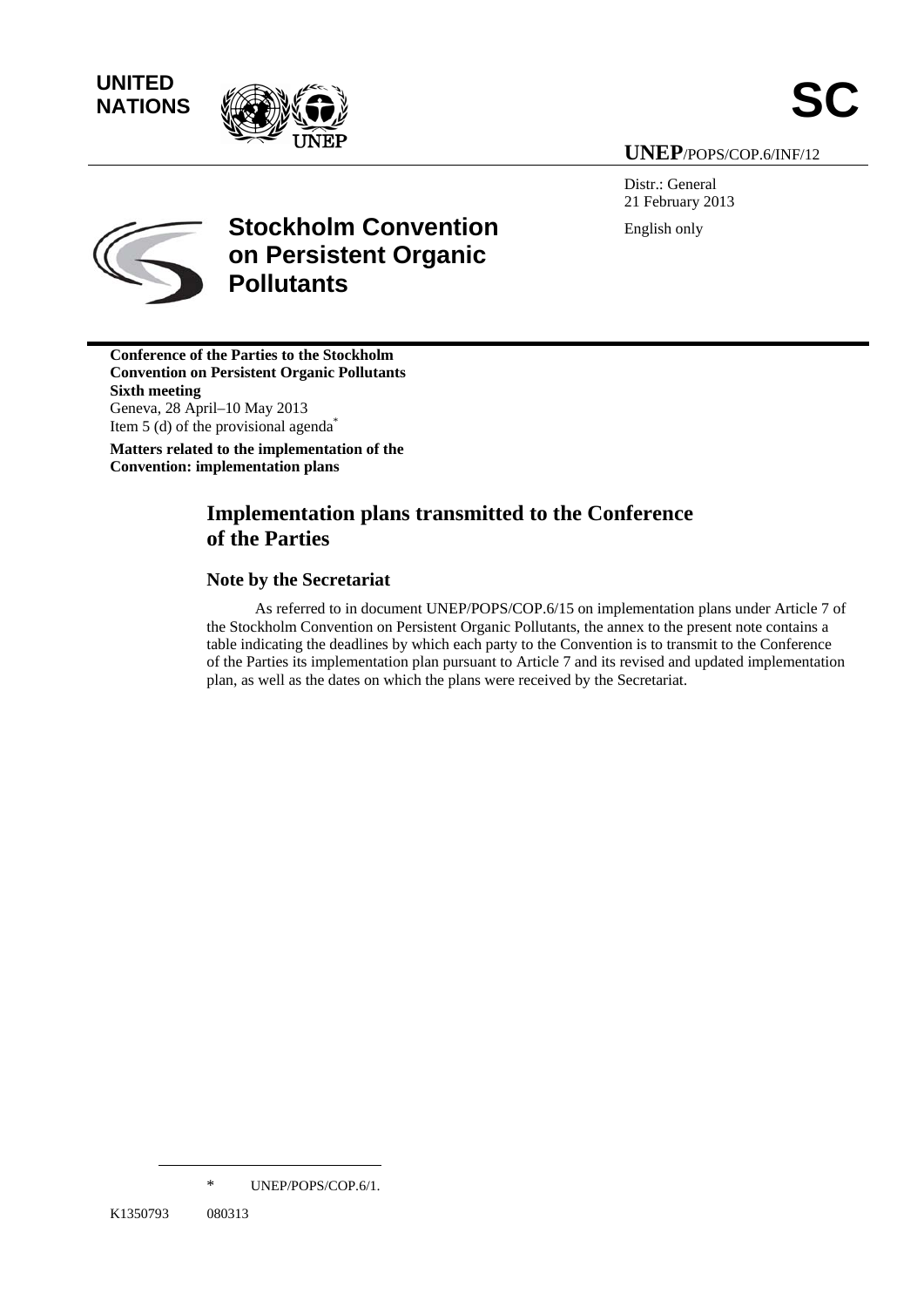**NATIONS**



**UNEP**/POPS/COP.6/INF/12

Distr.: General 21 February 2013 English only



# **Stockholm Convention on Persistent Organic Pollutants**

**Conference of the Parties to the Stockholm Convention on Persistent Organic Pollutants Sixth meeting**  Geneva, 28 April–10 May 2013 Item 5 (d) of the provisional agenda<sup>\*</sup> **Matters related to the implementation of the Convention: implementation plans** 

## **Implementation plans transmitted to the Conference of the Parties**

## **Note by the Secretariat**

As referred to in document UNEP/POPS/COP.6/15 on implementation plans under Article 7 of the Stockholm Convention on Persistent Organic Pollutants, the annex to the present note contains a table indicating the deadlines by which each party to the Convention is to transmit to the Conference of the Parties its implementation plan pursuant to Article 7 and its revised and updated implementation plan, as well as the dates on which the plans were received by the Secretariat.

 $\overline{a}$ 

<sup>\*</sup> UNEP/POPS/COP.6/1.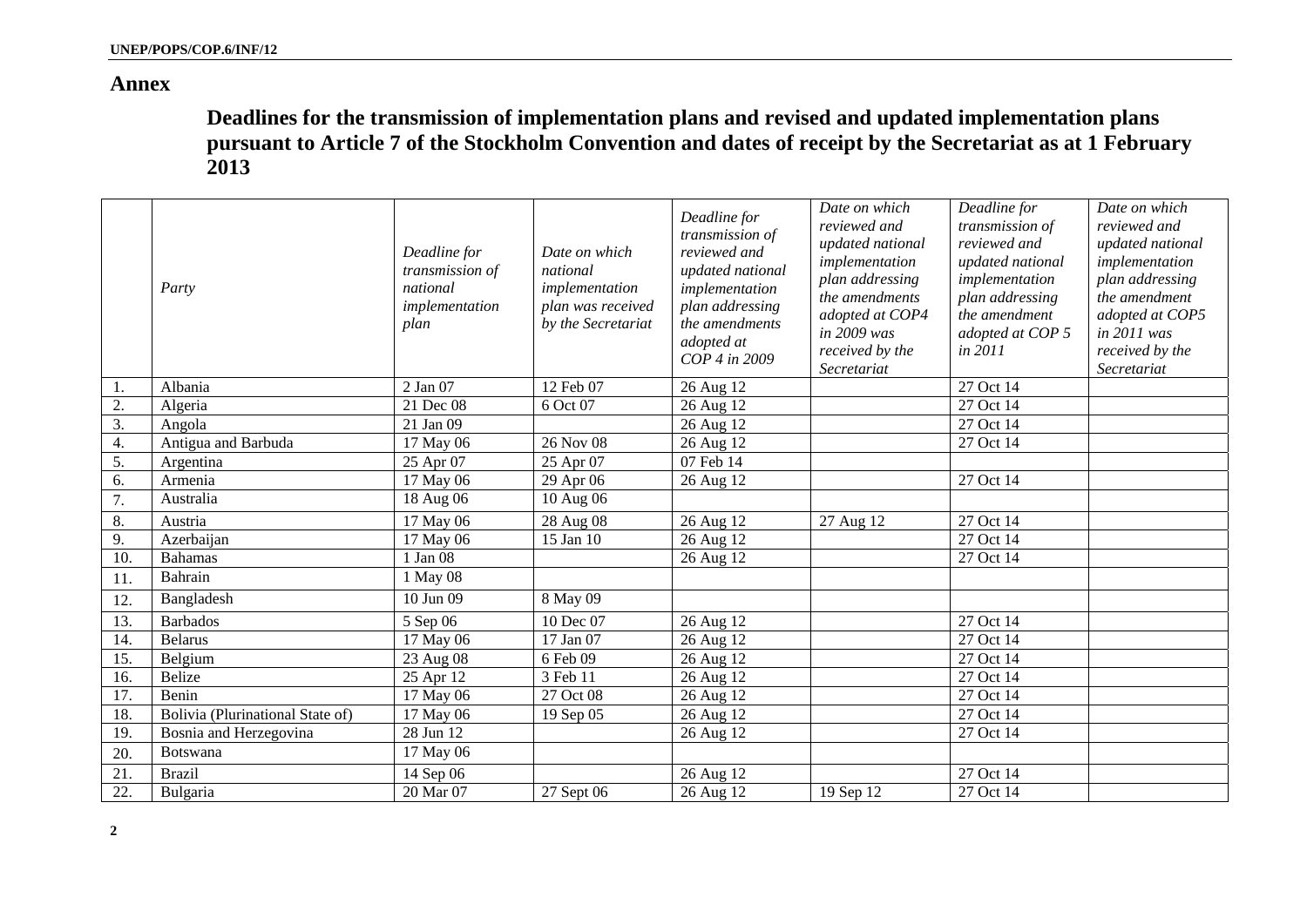## **Annex**

**Deadlines for the transmission of implementation plans and revised and updated implementation plans pursuant to Article 7 of the Stockholm Convention and dates of receipt by the Secretariat as at 1 February 2013** 

|     | Party                            | Deadline for<br>transmission of<br>national<br>implementation<br>plan | Date on which<br>national<br>implementation<br>plan was received<br>by the Secretariat | Deadline for<br>transmission of<br>reviewed and<br>updated national<br>implementation<br>plan addressing<br>the amendments<br>adopted at<br>COP 4 in 2009 | Date on which<br>reviewed and<br>updated national<br>implementation<br>plan addressing<br>the amendments<br>adopted at COP4<br>in 2009 was<br>received by the<br>Secretariat | Deadline for<br>transmission of<br>reviewed and<br>updated national<br>implementation<br>plan addressing<br>the amendment<br>adopted at COP 5<br>in 2011 | Date on which<br>reviewed and<br>updated national<br>implementation<br>plan addressing<br>the amendment<br>adopted at COP5<br>in 2011 was<br>received by the<br>Secretariat |
|-----|----------------------------------|-----------------------------------------------------------------------|----------------------------------------------------------------------------------------|-----------------------------------------------------------------------------------------------------------------------------------------------------------|------------------------------------------------------------------------------------------------------------------------------------------------------------------------------|----------------------------------------------------------------------------------------------------------------------------------------------------------|-----------------------------------------------------------------------------------------------------------------------------------------------------------------------------|
| 1.  | Albania                          | 2 Jan 07                                                              | 12 Feb 07                                                                              | 26 Aug 12                                                                                                                                                 |                                                                                                                                                                              | 27 Oct 14                                                                                                                                                |                                                                                                                                                                             |
| 2.  | Algeria                          | 21 Dec 08                                                             | 6 Oct 07                                                                               | 26 Aug 12                                                                                                                                                 |                                                                                                                                                                              | 27 Oct 14                                                                                                                                                |                                                                                                                                                                             |
| 3.  | Angola                           | 21 Jan 09                                                             |                                                                                        | 26 Aug 12                                                                                                                                                 |                                                                                                                                                                              | 27 Oct 14                                                                                                                                                |                                                                                                                                                                             |
| 4.  | Antigua and Barbuda              | 17 May 06                                                             | 26 Nov 08                                                                              | 26 Aug 12                                                                                                                                                 |                                                                                                                                                                              | 27 Oct 14                                                                                                                                                |                                                                                                                                                                             |
| 5.  | Argentina                        | 25 Apr 07                                                             | 25 Apr 07                                                                              | 07 Feb 14                                                                                                                                                 |                                                                                                                                                                              |                                                                                                                                                          |                                                                                                                                                                             |
| 6.  | Armenia                          | 17 May 06                                                             | 29 Apr 06                                                                              | 26 Aug 12                                                                                                                                                 |                                                                                                                                                                              | 27 Oct 14                                                                                                                                                |                                                                                                                                                                             |
| 7.  | Australia                        | 18 Aug 06                                                             | 10 Aug 06                                                                              |                                                                                                                                                           |                                                                                                                                                                              |                                                                                                                                                          |                                                                                                                                                                             |
| 8.  | Austria                          | 17 May 06                                                             | 28 Aug 08                                                                              | 26 Aug 12                                                                                                                                                 | 27 Aug 12                                                                                                                                                                    | 27 Oct 14                                                                                                                                                |                                                                                                                                                                             |
| 9.  | Azerbaijan                       | 17 May 06                                                             | 15 Jan 10                                                                              | 26 Aug 12                                                                                                                                                 |                                                                                                                                                                              | 27 Oct 14                                                                                                                                                |                                                                                                                                                                             |
| 10. | <b>Bahamas</b>                   | 1 Jan 08                                                              |                                                                                        | 26 Aug 12                                                                                                                                                 |                                                                                                                                                                              | 27 Oct 14                                                                                                                                                |                                                                                                                                                                             |
| 11. | Bahrain                          | 1 May 08                                                              |                                                                                        |                                                                                                                                                           |                                                                                                                                                                              |                                                                                                                                                          |                                                                                                                                                                             |
| 12. | Bangladesh                       | 10 Jun 09                                                             | 8 May 09                                                                               |                                                                                                                                                           |                                                                                                                                                                              |                                                                                                                                                          |                                                                                                                                                                             |
| 13. | <b>Barbados</b>                  | 5 Sep 06                                                              | 10 Dec 07                                                                              | 26 Aug 12                                                                                                                                                 |                                                                                                                                                                              | 27 Oct 14                                                                                                                                                |                                                                                                                                                                             |
| 14. | <b>Belarus</b>                   | 17 May 06                                                             | 17 Jan 07                                                                              | 26 Aug 12                                                                                                                                                 |                                                                                                                                                                              | 27 Oct 14                                                                                                                                                |                                                                                                                                                                             |
| 15. | Belgium                          | 23 Aug 08                                                             | 6 Feb 09                                                                               | 26 Aug 12                                                                                                                                                 |                                                                                                                                                                              | 27 Oct 14                                                                                                                                                |                                                                                                                                                                             |
| 16. | <b>Belize</b>                    | 25 Apr 12                                                             | 3 Feb 11                                                                               | 26 Aug 12                                                                                                                                                 |                                                                                                                                                                              | 27 Oct 14                                                                                                                                                |                                                                                                                                                                             |
| 17. | Benin                            | 17 May 06                                                             | 27 Oct 08                                                                              | 26 Aug 12                                                                                                                                                 |                                                                                                                                                                              | 27 Oct 14                                                                                                                                                |                                                                                                                                                                             |
| 18. | Bolivia (Plurinational State of) | 17 May 06                                                             | 19 Sep 05                                                                              | 26 Aug 12                                                                                                                                                 |                                                                                                                                                                              | 27 Oct 14                                                                                                                                                |                                                                                                                                                                             |
| 19. | Bosnia and Herzegovina           | 28 Jun 12                                                             |                                                                                        | 26 Aug 12                                                                                                                                                 |                                                                                                                                                                              | 27 Oct 14                                                                                                                                                |                                                                                                                                                                             |
| 20. | Botswana                         | 17 May 06                                                             |                                                                                        |                                                                                                                                                           |                                                                                                                                                                              |                                                                                                                                                          |                                                                                                                                                                             |
| 21. | <b>Brazil</b>                    | 14 Sep 06                                                             |                                                                                        | 26 Aug 12                                                                                                                                                 |                                                                                                                                                                              | 27 Oct 14                                                                                                                                                |                                                                                                                                                                             |
| 22  | Bulgaria                         | 20 Mar 07                                                             | 27 Sept 06                                                                             | 26 Aug 12                                                                                                                                                 | 19 Sep 12                                                                                                                                                                    | 27 Oct 14                                                                                                                                                |                                                                                                                                                                             |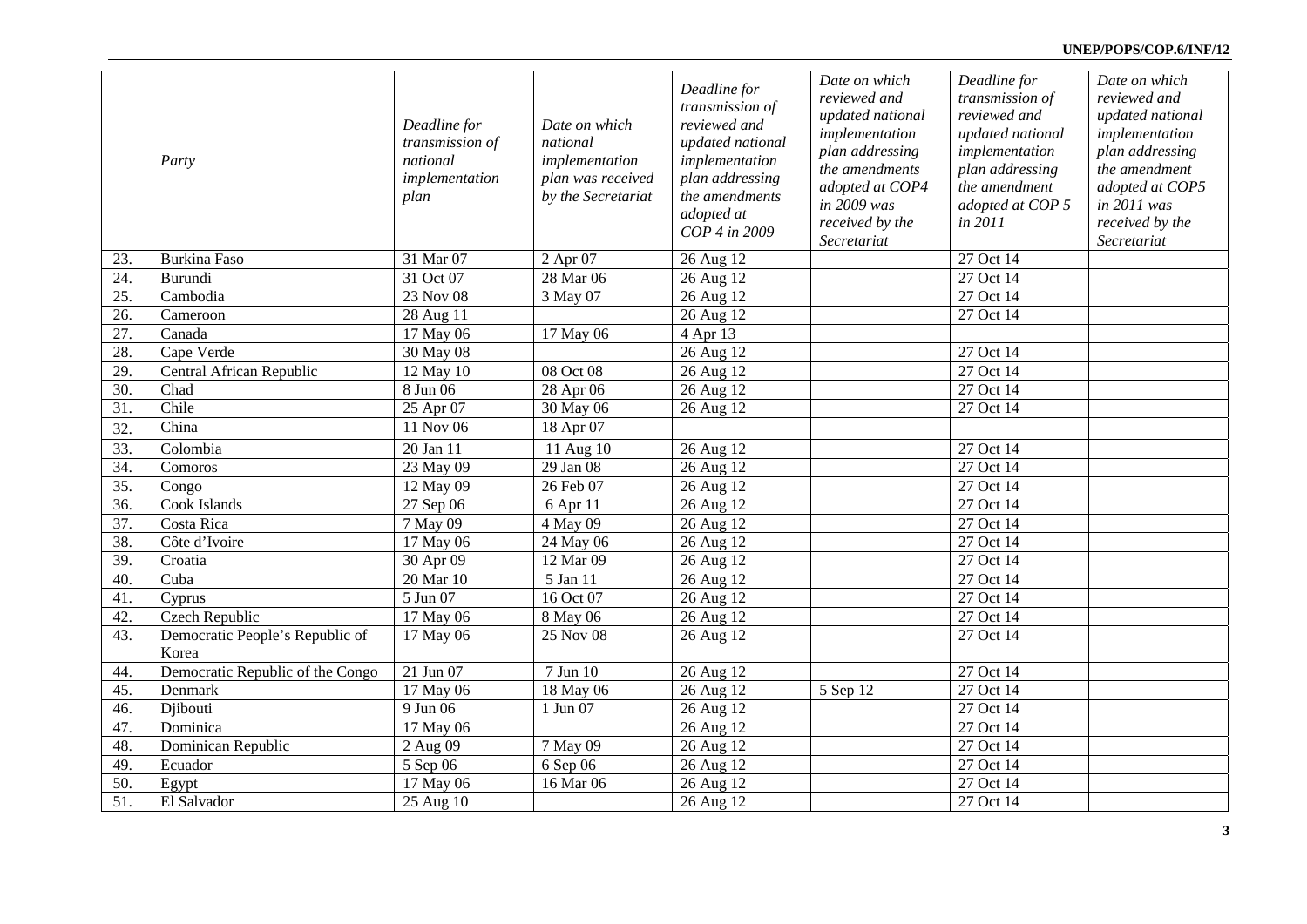### **UNEP/POPS/COP.6/INF/12**

|                   | Party                                    | Deadline for<br>transmission of<br>national<br>implementation<br>plan | Date on which<br>national<br>implementation<br>plan was received<br>by the Secretariat | Deadline for<br>transmission of<br>reviewed and<br>updated national<br>implementation<br>plan addressing<br>the amendments | Date on which<br>reviewed and<br>updated national<br>implementation<br>plan addressing<br>the amendments<br>adopted at COP4<br>in 2009 was | Deadline for<br>transmission of<br>reviewed and<br>updated national<br>implementation<br>plan addressing<br>the amendment<br>adopted at COP 5 | Date on which<br>reviewed and<br>updated national<br>implementation<br>plan addressing<br>the amendment<br>adopted at COP5<br>in 2011 was |
|-------------------|------------------------------------------|-----------------------------------------------------------------------|----------------------------------------------------------------------------------------|----------------------------------------------------------------------------------------------------------------------------|--------------------------------------------------------------------------------------------------------------------------------------------|-----------------------------------------------------------------------------------------------------------------------------------------------|-------------------------------------------------------------------------------------------------------------------------------------------|
|                   |                                          |                                                                       |                                                                                        | adopted at<br>COP 4 in 2009                                                                                                | received by the<br>Secretariat                                                                                                             | in 2011                                                                                                                                       | received by the<br>Secretariat                                                                                                            |
| 23.               | <b>Burkina Faso</b>                      | 31 Mar 07                                                             | 2 Apr 07                                                                               | 26 Aug 12                                                                                                                  |                                                                                                                                            | 27 Oct 14                                                                                                                                     |                                                                                                                                           |
| 24.               | Burundi                                  | 31 Oct 07                                                             | 28 Mar 06                                                                              | 26 Aug 12                                                                                                                  |                                                                                                                                            | $\overline{27}$ Oct 14                                                                                                                        |                                                                                                                                           |
| 25.               | Cambodia                                 | 23 Nov 08                                                             | 3 May 07                                                                               | 26 Aug 12                                                                                                                  |                                                                                                                                            | 27 Oct 14                                                                                                                                     |                                                                                                                                           |
| 26.               | Cameroon                                 | 28 Aug 11                                                             |                                                                                        | 26 Aug 12                                                                                                                  |                                                                                                                                            | 27 Oct 14                                                                                                                                     |                                                                                                                                           |
| 27.               | Canada                                   | 17 May 06                                                             | 17 May 06                                                                              | 4 Apr 13                                                                                                                   |                                                                                                                                            |                                                                                                                                               |                                                                                                                                           |
| 28.               | Cape Verde                               | 30 May 08                                                             |                                                                                        | 26 Aug 12                                                                                                                  |                                                                                                                                            | 27 Oct 14                                                                                                                                     |                                                                                                                                           |
| 29.               | Central African Republic                 | 12 May 10                                                             | 08 Oct 08                                                                              | 26 Aug 12                                                                                                                  |                                                                                                                                            | 27 Oct 14                                                                                                                                     |                                                                                                                                           |
| 30.               | Chad                                     | 8 Jun 06                                                              | 28 Apr 06                                                                              | 26 Aug 12                                                                                                                  |                                                                                                                                            | 27 Oct 14                                                                                                                                     |                                                                                                                                           |
| 31.               | Chile                                    | 25 Apr 07                                                             | 30 May 06                                                                              | 26 Aug 12                                                                                                                  |                                                                                                                                            | 27 Oct 14                                                                                                                                     |                                                                                                                                           |
| 32.               | China                                    | $11$ Nov 06                                                           | 18 Apr 07                                                                              |                                                                                                                            |                                                                                                                                            |                                                                                                                                               |                                                                                                                                           |
| 33.               | Colombia                                 | 20 Jan 11                                                             | 11 Aug 10                                                                              | 26 Aug 12                                                                                                                  |                                                                                                                                            | 27 Oct 14                                                                                                                                     |                                                                                                                                           |
| 34.               | Comoros                                  | 23 May 09                                                             | 29 Jan 08                                                                              | 26 Aug 12                                                                                                                  |                                                                                                                                            | 27 Oct 14                                                                                                                                     |                                                                                                                                           |
| $\overline{35}$ . | Congo                                    | 12 May 09                                                             | 26 Feb 07                                                                              | 26 Aug 12                                                                                                                  |                                                                                                                                            | 27 Oct 14                                                                                                                                     |                                                                                                                                           |
| 36.               | Cook Islands                             | 27 Sep 06                                                             | 6 Apr 11                                                                               | 26 Aug 12                                                                                                                  |                                                                                                                                            | 27 Oct 14                                                                                                                                     |                                                                                                                                           |
| 37.               | Costa Rica                               | 7 May 09                                                              | 4 May 09                                                                               | 26 Aug 12                                                                                                                  |                                                                                                                                            | 27 Oct 14                                                                                                                                     |                                                                                                                                           |
| 38.               | Côte d'Ivoire                            | 17 May 06                                                             | 24 May 06                                                                              | 26 Aug 12                                                                                                                  |                                                                                                                                            | 27 Oct 14                                                                                                                                     |                                                                                                                                           |
| 39.               | Croatia                                  | 30 Apr 09                                                             | 12 Mar 09                                                                              | 26 Aug 12                                                                                                                  |                                                                                                                                            | 27 Oct 14                                                                                                                                     |                                                                                                                                           |
| 40.               | Cuba                                     | 20 Mar 10                                                             | 5 Jan 11                                                                               | 26 Aug 12                                                                                                                  |                                                                                                                                            | 27 Oct 14                                                                                                                                     |                                                                                                                                           |
| 41.               | Cyprus                                   | 5 Jun 07                                                              | 16 Oct 07                                                                              | 26 Aug 12                                                                                                                  |                                                                                                                                            | 27 Oct 14                                                                                                                                     |                                                                                                                                           |
| 42.               | Czech Republic                           | 17 May 06                                                             | 8 May 06                                                                               | 26 Aug 12                                                                                                                  |                                                                                                                                            | 27 Oct 14                                                                                                                                     |                                                                                                                                           |
| 43.               | Democratic People's Republic of<br>Korea | $17$ May 06                                                           | 25 Nov 08                                                                              | 26 Aug 12                                                                                                                  |                                                                                                                                            | 27 Oct 14                                                                                                                                     |                                                                                                                                           |
| 44.               | Democratic Republic of the Congo         | $21$ Jun 07                                                           | 7 Jun 10                                                                               | 26 Aug 12                                                                                                                  |                                                                                                                                            | 27 Oct 14                                                                                                                                     |                                                                                                                                           |
| 45.               | Denmark                                  | 17 May 06                                                             | 18 May 06                                                                              | 26 Aug 12                                                                                                                  | 5 Sep 12                                                                                                                                   | 27 Oct 14                                                                                                                                     |                                                                                                                                           |
| 46.               | Djibouti                                 | 9 Jun 06                                                              | 1 Jun 07                                                                               | 26 Aug 12                                                                                                                  |                                                                                                                                            | 27 Oct 14                                                                                                                                     |                                                                                                                                           |
| 47.               | Dominica                                 | 17 May 06                                                             |                                                                                        | 26 Aug 12                                                                                                                  |                                                                                                                                            | 27 Oct 14                                                                                                                                     |                                                                                                                                           |
| 48.               | Dominican Republic                       | 2 Aug 09                                                              | 7 May 09                                                                               | 26 Aug 12                                                                                                                  |                                                                                                                                            | 27 Oct 14                                                                                                                                     |                                                                                                                                           |
| 49.               | Ecuador                                  | 5 Sep $\overline{06}$                                                 | 6 Sep 06                                                                               | 26 Aug 12                                                                                                                  |                                                                                                                                            | 27 Oct 14                                                                                                                                     |                                                                                                                                           |
| 50.               | Egypt                                    | 17 May 06                                                             | 16 Mar 06                                                                              | 26 Aug 12                                                                                                                  |                                                                                                                                            | 27 Oct 14                                                                                                                                     |                                                                                                                                           |
| $\overline{51}$   | El Salvador                              | 25 Aug 10                                                             |                                                                                        | 26 Aug 12                                                                                                                  |                                                                                                                                            | 27 Oct 14                                                                                                                                     |                                                                                                                                           |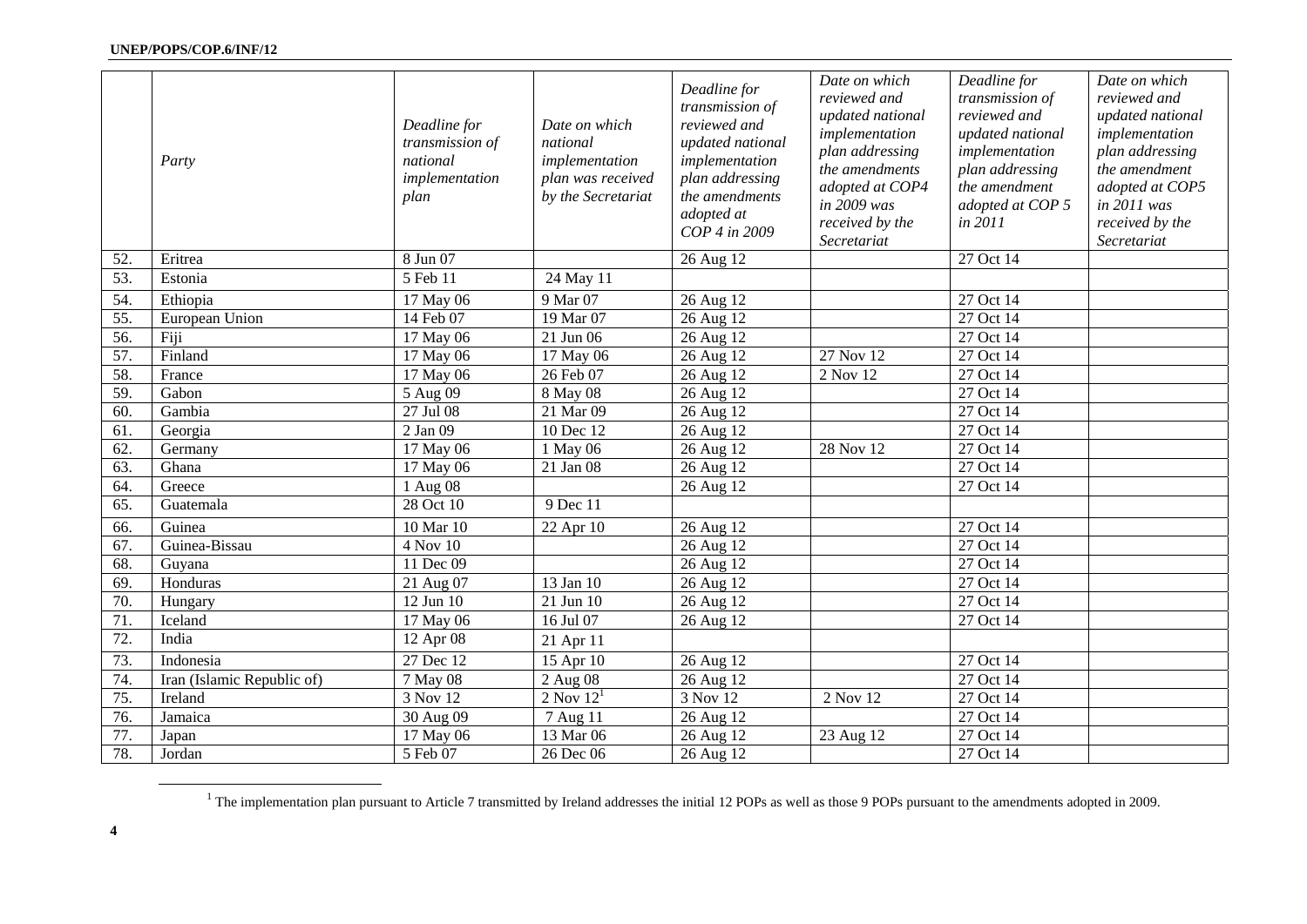|                   | Party                      | Deadline for<br>transmission of<br>national<br>implementation<br>plan | Date on which<br>national<br>implementation<br>plan was received<br>by the Secretariat | Deadline for<br>transmission of<br>reviewed and<br>updated national<br>implementation<br>plan addressing<br>the amendments<br>adopted at<br>COP 4 in 2009 | Date on which<br>reviewed and<br>updated national<br>implementation<br>plan addressing<br>the amendments<br>adopted at COP4<br>in 2009 was<br>received by the<br>Secretariat | Deadline for<br>transmission of<br>reviewed and<br>updated national<br>implementation<br>plan addressing<br>the amendment<br>adopted at COP 5<br>in 2011 | Date on which<br>reviewed and<br>updated national<br>implementation<br>plan addressing<br>the amendment<br>adopted at COP5<br>in 2011 was<br>received by the<br>Secretariat |
|-------------------|----------------------------|-----------------------------------------------------------------------|----------------------------------------------------------------------------------------|-----------------------------------------------------------------------------------------------------------------------------------------------------------|------------------------------------------------------------------------------------------------------------------------------------------------------------------------------|----------------------------------------------------------------------------------------------------------------------------------------------------------|-----------------------------------------------------------------------------------------------------------------------------------------------------------------------------|
| 52.               | Eritrea                    | 8 Jun 07                                                              |                                                                                        | 26 Aug 12                                                                                                                                                 |                                                                                                                                                                              | 27 Oct 14                                                                                                                                                |                                                                                                                                                                             |
| $\overline{53}$ . | Estonia                    | $5 \overline{\text{Feb}}$ 11                                          | 24 May 11                                                                              |                                                                                                                                                           |                                                                                                                                                                              |                                                                                                                                                          |                                                                                                                                                                             |
| 54.               | Ethiopia                   | 17 May 06                                                             | 9 Mar 07                                                                               | 26 Aug 12                                                                                                                                                 |                                                                                                                                                                              | 27 Oct 14                                                                                                                                                |                                                                                                                                                                             |
| 55.               | European Union             | 14 Feb 07                                                             | 19 Mar 07                                                                              | 26 Aug 12                                                                                                                                                 |                                                                                                                                                                              | 27 Oct 14                                                                                                                                                |                                                                                                                                                                             |
| 56.               | Fiji                       | 17 May 06                                                             | 21 Jun 06                                                                              | 26 Aug 12                                                                                                                                                 |                                                                                                                                                                              | 27 Oct 14                                                                                                                                                |                                                                                                                                                                             |
| 57.               | Finland                    | 17 May 06                                                             | 17 May 06                                                                              | 26 Aug 12                                                                                                                                                 | 27 Nov 12                                                                                                                                                                    | 27 Oct 14                                                                                                                                                |                                                                                                                                                                             |
| 58.               | France                     | 17 May 06                                                             | 26 Feb 07                                                                              | 26 Aug 12                                                                                                                                                 | 2 Nov 12                                                                                                                                                                     | 27 Oct 14                                                                                                                                                |                                                                                                                                                                             |
| 59.               | Gabon                      | 5 Aug 09                                                              | 8 May 08                                                                               | 26 Aug 12                                                                                                                                                 |                                                                                                                                                                              | 27 Oct 14                                                                                                                                                |                                                                                                                                                                             |
| 60.               | Gambia                     | 27 Jul 08                                                             | 21 Mar 09                                                                              | 26 Aug 12                                                                                                                                                 |                                                                                                                                                                              | 27 Oct 14                                                                                                                                                |                                                                                                                                                                             |
| 61.               | Georgia                    | 2 Jan 09                                                              | 10 Dec 12                                                                              | 26 Aug 12                                                                                                                                                 |                                                                                                                                                                              | 27 Oct 14                                                                                                                                                |                                                                                                                                                                             |
| 62.               | Germany                    | 17 May 06                                                             | 1 May 06                                                                               | 26 Aug 12                                                                                                                                                 | 28 Nov 12                                                                                                                                                                    | 27 Oct 14                                                                                                                                                |                                                                                                                                                                             |
| 63.               | Ghana                      | 17 May 06                                                             | 21 Jan 08                                                                              | 26 Aug 12                                                                                                                                                 |                                                                                                                                                                              | 27 Oct 14                                                                                                                                                |                                                                                                                                                                             |
| 64.               | Greece                     | 1 Aug 08                                                              |                                                                                        | 26 Aug 12                                                                                                                                                 |                                                                                                                                                                              | 27 Oct 14                                                                                                                                                |                                                                                                                                                                             |
| 65.               | Guatemala                  | 28 Oct 10                                                             | 9 Dec 11                                                                               |                                                                                                                                                           |                                                                                                                                                                              |                                                                                                                                                          |                                                                                                                                                                             |
| 66.               | Guinea                     | 10 Mar 10                                                             | 22 Apr 10                                                                              | 26 Aug 12                                                                                                                                                 |                                                                                                                                                                              | 27 Oct 14                                                                                                                                                |                                                                                                                                                                             |
| 67.               | Guinea-Bissau              | 4 Nov 10                                                              |                                                                                        | 26 Aug 12                                                                                                                                                 |                                                                                                                                                                              | 27 Oct 14                                                                                                                                                |                                                                                                                                                                             |
| 68.               | Guyana                     | 11 Dec 09                                                             |                                                                                        | 26 Aug 12                                                                                                                                                 |                                                                                                                                                                              | 27 Oct 14                                                                                                                                                |                                                                                                                                                                             |
| 69.               | Honduras                   | 21 Aug 07                                                             | 13 Jan 10                                                                              | 26 Aug 12                                                                                                                                                 |                                                                                                                                                                              | 27 Oct 14                                                                                                                                                |                                                                                                                                                                             |
| 70.               | Hungary                    | 12 Jun 10                                                             | 21 Jun 10                                                                              | 26 Aug 12                                                                                                                                                 |                                                                                                                                                                              | 27 Oct 14                                                                                                                                                |                                                                                                                                                                             |
| 71.               | Iceland                    | 17 May 06                                                             | 16 Jul 07                                                                              | 26 Aug 12                                                                                                                                                 |                                                                                                                                                                              | 27 Oct 14                                                                                                                                                |                                                                                                                                                                             |
| $\overline{72}$ . | India                      | 12 Apr 08                                                             | 21 Apr 11                                                                              |                                                                                                                                                           |                                                                                                                                                                              |                                                                                                                                                          |                                                                                                                                                                             |
| 73.               | Indonesia                  | 27 Dec 12                                                             | 15 Apr 10                                                                              | 26 Aug 12                                                                                                                                                 |                                                                                                                                                                              | 27 Oct 14                                                                                                                                                |                                                                                                                                                                             |
| 74.               | Iran (Islamic Republic of) | 7 May 08                                                              | 2 Aug 08                                                                               | 26 Aug 12                                                                                                                                                 |                                                                                                                                                                              | $27$ Oct 14                                                                                                                                              |                                                                                                                                                                             |
| 75.               | Ireland                    | 3 Nov 12                                                              | $2$ Nov $121$                                                                          | 3 Nov 12                                                                                                                                                  | 2 Nov 12                                                                                                                                                                     | $\overline{27}$ Oct 14                                                                                                                                   |                                                                                                                                                                             |
| 76.               | Jamaica                    | 30 Aug 09                                                             | 7 Aug 11                                                                               | 26 Aug 12                                                                                                                                                 |                                                                                                                                                                              | 27 Oct 14                                                                                                                                                |                                                                                                                                                                             |
| 77.               | Japan                      | 17 May 06                                                             | 13 Mar 06                                                                              | 26 Aug 12                                                                                                                                                 | 23 Aug 12                                                                                                                                                                    | 27 Oct 14                                                                                                                                                |                                                                                                                                                                             |
| 78.               | Jordan                     | 5 Feb 07                                                              | 26 Dec 06                                                                              | 26 Aug 12                                                                                                                                                 |                                                                                                                                                                              | 27 Oct 14                                                                                                                                                |                                                                                                                                                                             |

<sup>&</sup>lt;sup>1</sup> The implementation plan pursuant to Article 7 transmitted by Ireland addresses the initial 12 POPs as well as those 9 POPs pursuant to the amendments adopted in 2009.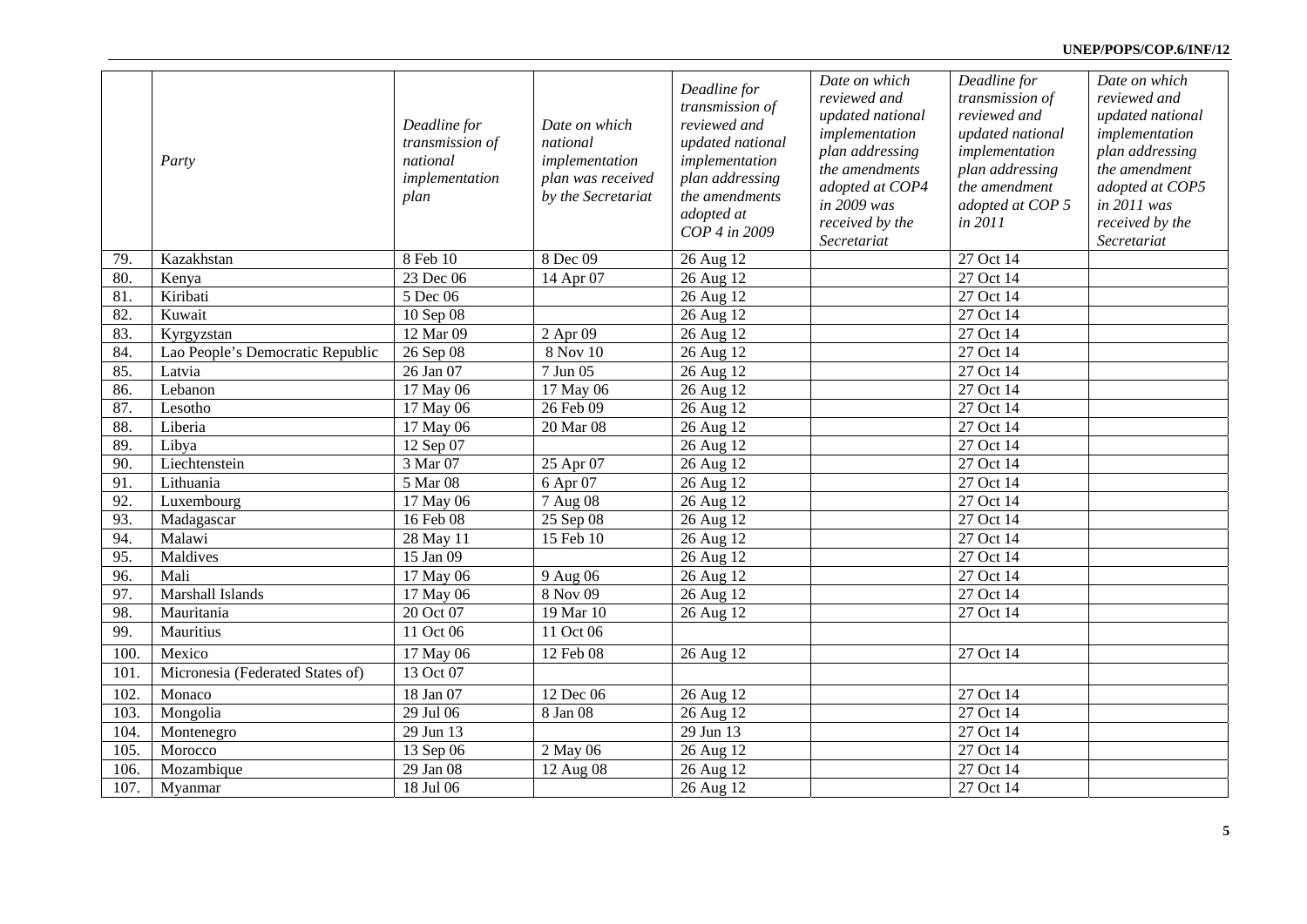### **UNEP/POPS/COP.6/INF/12**

|      | Party                            | Deadline for<br>transmission of<br>national<br>implementation<br>plan | Date on which<br>national<br>implementation<br>plan was received<br>by the Secretariat | Deadline for<br>transmission of<br>reviewed and<br>updated national<br>implementation<br>plan addressing<br>the amendments<br>adopted at<br>COP 4 in 2009 | Date on which<br>reviewed and<br>updated national<br>implementation<br>plan addressing<br>the amendments<br>adopted at COP4<br>in 2009 was<br>received by the<br>Secretariat | Deadline for<br>transmission of<br>reviewed and<br>updated national<br>implementation<br>plan addressing<br>the amendment<br>adopted at COP 5<br>in 2011 | Date on which<br>reviewed and<br>updated national<br>implementation<br>plan addressing<br>the amendment<br>adopted at COP5<br>in 2011 was<br>received by the<br>Secretariat |
|------|----------------------------------|-----------------------------------------------------------------------|----------------------------------------------------------------------------------------|-----------------------------------------------------------------------------------------------------------------------------------------------------------|------------------------------------------------------------------------------------------------------------------------------------------------------------------------------|----------------------------------------------------------------------------------------------------------------------------------------------------------|-----------------------------------------------------------------------------------------------------------------------------------------------------------------------------|
| 79.  | Kazakhstan                       | 8 Feb 10                                                              | 8 Dec 09                                                                               | 26 Aug 12                                                                                                                                                 |                                                                                                                                                                              | 27 Oct 14                                                                                                                                                |                                                                                                                                                                             |
| 80.  | Kenya                            | 23 Dec 06                                                             | 14 Apr 07                                                                              | 26 Aug 12                                                                                                                                                 |                                                                                                                                                                              | 27 Oct 14                                                                                                                                                |                                                                                                                                                                             |
| 81.  | Kiribati                         | 5 Dec 06                                                              |                                                                                        | 26 Aug 12                                                                                                                                                 |                                                                                                                                                                              | 27 Oct 14                                                                                                                                                |                                                                                                                                                                             |
| 82.  | Kuwait                           | 10 Sep 08                                                             |                                                                                        | 26 Aug 12                                                                                                                                                 |                                                                                                                                                                              | 27 Oct 14                                                                                                                                                |                                                                                                                                                                             |
| 83.  | Kyrgyzstan                       | 12 Mar 09                                                             | 2 Apr 09                                                                               | 26 Aug 12                                                                                                                                                 |                                                                                                                                                                              | 27 Oct 14                                                                                                                                                |                                                                                                                                                                             |
| 84.  | Lao People's Democratic Republic | 26 Sep 08                                                             | 8 Nov 10                                                                               | 26 Aug 12                                                                                                                                                 |                                                                                                                                                                              | 27 Oct 14                                                                                                                                                |                                                                                                                                                                             |
| 85.  | Latvia                           | 26 Jan 07                                                             | 7 Jun 05                                                                               | 26 Aug 12                                                                                                                                                 |                                                                                                                                                                              | $\overline{27}$ Oct 14                                                                                                                                   |                                                                                                                                                                             |
| 86.  | Lebanon                          | 17 May 06                                                             | 17 May 06                                                                              | 26 Aug 12                                                                                                                                                 |                                                                                                                                                                              | $\overline{27}$ Oct 14                                                                                                                                   |                                                                                                                                                                             |
| 87.  | Lesotho                          | 17 May 06                                                             | 26 Feb 09                                                                              | 26 Aug 12                                                                                                                                                 |                                                                                                                                                                              | 27 Oct 14                                                                                                                                                |                                                                                                                                                                             |
| 88.  | Liberia                          | 17 May 06                                                             | 20 Mar 08                                                                              | 26 Aug 12                                                                                                                                                 |                                                                                                                                                                              | 27 Oct 14                                                                                                                                                |                                                                                                                                                                             |
| 89.  | Libya                            | 12 Sep 07                                                             |                                                                                        | 26 Aug 12                                                                                                                                                 |                                                                                                                                                                              | 27 Oct 14                                                                                                                                                |                                                                                                                                                                             |
| 90.  | Liechtenstein                    | 3 Mar 07                                                              | 25 Apr 07                                                                              | 26 Aug 12                                                                                                                                                 |                                                                                                                                                                              | 27 Oct 14                                                                                                                                                |                                                                                                                                                                             |
| 91.  | Lithuania                        | 5 Mar 08                                                              | 6 Apr 07                                                                               | 26 Aug 12                                                                                                                                                 |                                                                                                                                                                              | 27 Oct 14                                                                                                                                                |                                                                                                                                                                             |
| 92.  | Luxembourg                       | 17 May 06                                                             | 7 Aug 08                                                                               | 26 Aug 12                                                                                                                                                 |                                                                                                                                                                              | 27 Oct 14                                                                                                                                                |                                                                                                                                                                             |
| 93.  | Madagascar                       | 16 Feb 08                                                             | 25 Sep 08                                                                              | 26 Aug 12                                                                                                                                                 |                                                                                                                                                                              | 27 Oct 14                                                                                                                                                |                                                                                                                                                                             |
| 94.  | Malawi                           | 28 May 11                                                             | 15 Feb 10                                                                              | 26 Aug 12                                                                                                                                                 |                                                                                                                                                                              | 27 Oct 14                                                                                                                                                |                                                                                                                                                                             |
| 95.  | Maldives                         | 15 Jan 09                                                             |                                                                                        | 26 Aug 12                                                                                                                                                 |                                                                                                                                                                              | 27 Oct 14                                                                                                                                                |                                                                                                                                                                             |
| 96.  | Mali                             | 17 May 06                                                             | 9 Aug 06                                                                               | 26 Aug 12                                                                                                                                                 |                                                                                                                                                                              | 27 Oct 14                                                                                                                                                |                                                                                                                                                                             |
| 97.  | Marshall Islands                 | 17 May 06                                                             | 8 Nov 09                                                                               | 26 Aug 12                                                                                                                                                 |                                                                                                                                                                              | 27 Oct 14                                                                                                                                                |                                                                                                                                                                             |
| 98.  | Mauritania                       | 20 Oct 07                                                             | 19 Mar 10                                                                              | 26 Aug 12                                                                                                                                                 |                                                                                                                                                                              | 27 Oct 14                                                                                                                                                |                                                                                                                                                                             |
| 99.  | Mauritius                        | 11 Oct 06                                                             | 11 Oct 06                                                                              |                                                                                                                                                           |                                                                                                                                                                              |                                                                                                                                                          |                                                                                                                                                                             |
| 100. | Mexico                           | 17 May 06                                                             | 12 Feb 08                                                                              | 26 Aug 12                                                                                                                                                 |                                                                                                                                                                              | 27 Oct 14                                                                                                                                                |                                                                                                                                                                             |
| 101. | Micronesia (Federated States of) | 13 Oct 07                                                             |                                                                                        |                                                                                                                                                           |                                                                                                                                                                              |                                                                                                                                                          |                                                                                                                                                                             |
| 102. | Monaco                           | 18 Jan 07                                                             | 12 Dec 06                                                                              | 26 Aug 12                                                                                                                                                 |                                                                                                                                                                              | 27 Oct 14                                                                                                                                                |                                                                                                                                                                             |
| 103. | Mongolia                         | 29 Jul 06                                                             | 8 Jan 08                                                                               | 26 Aug 12                                                                                                                                                 |                                                                                                                                                                              | 27 Oct 14                                                                                                                                                |                                                                                                                                                                             |
| 104. | Montenegro                       | 29 Jun 13                                                             |                                                                                        | 29 Jun 13                                                                                                                                                 |                                                                                                                                                                              | 27 Oct 14                                                                                                                                                |                                                                                                                                                                             |
| 105. | Morocco                          | 13 Sep 06                                                             | 2 May 06                                                                               | 26 Aug 12                                                                                                                                                 |                                                                                                                                                                              | 27 Oct 14                                                                                                                                                |                                                                                                                                                                             |
| 106. | Mozambique                       | 29 Jan 08                                                             | 12 Aug 08                                                                              | 26 Aug 12                                                                                                                                                 |                                                                                                                                                                              | 27 Oct 14                                                                                                                                                |                                                                                                                                                                             |
| 107. | Myanmar                          | 18 Jul 06                                                             |                                                                                        | 26 Aug 12                                                                                                                                                 |                                                                                                                                                                              | 27 Oct 14                                                                                                                                                |                                                                                                                                                                             |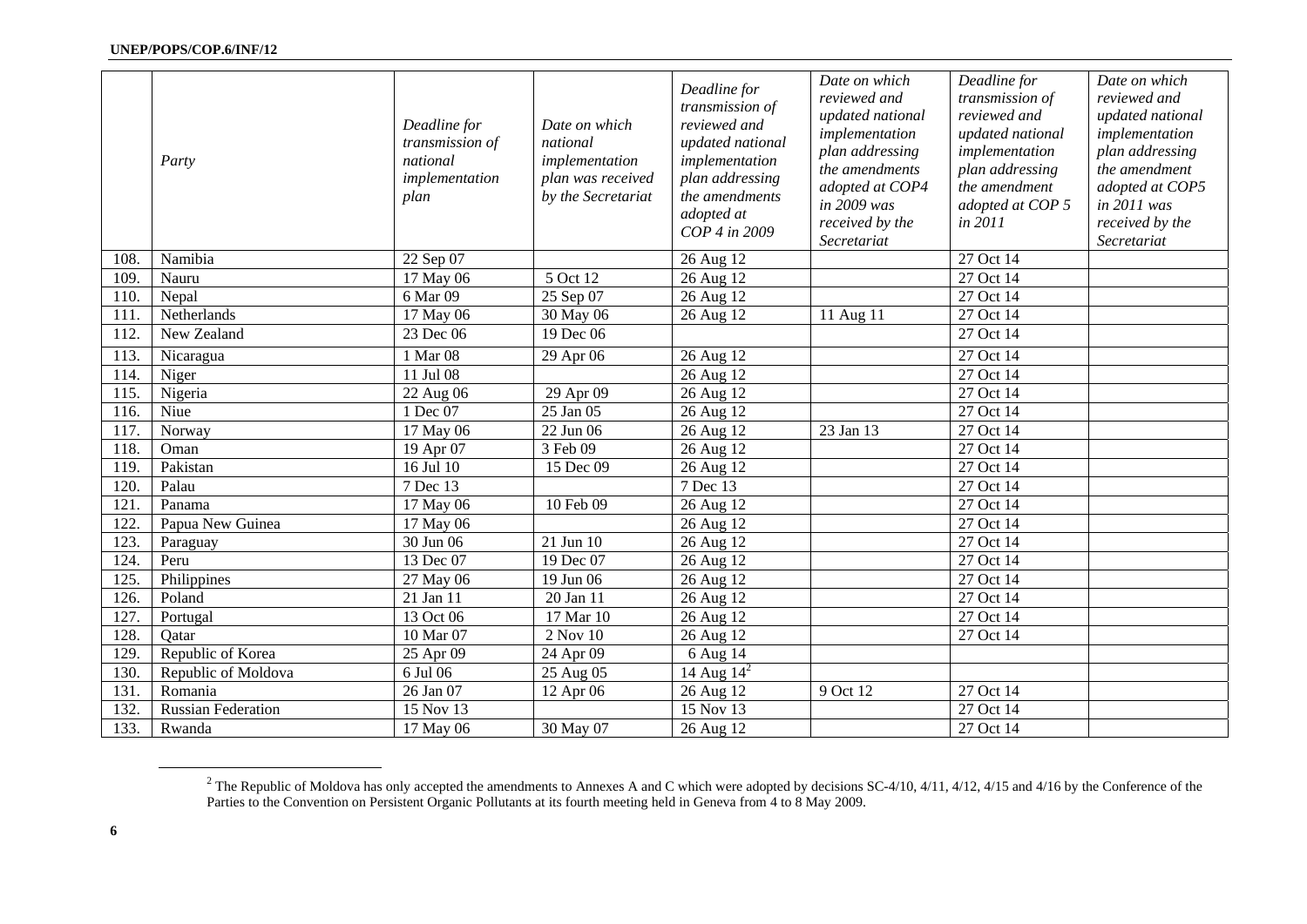|      | Party                     | Deadline for<br>transmission of<br>national<br>implementation<br>plan | Date on which<br>national<br>implementation<br>plan was received<br>by the Secretariat | Deadline for<br>transmission of<br>reviewed and<br>updated national<br>implementation<br>plan addressing<br>the amendments<br>adopted at<br>COP 4 in 2009 | Date on which<br>reviewed and<br>updated national<br>implementation<br>plan addressing<br>the amendments<br>adopted at COP4<br>in 2009 was<br>received by the<br>Secretariat | Deadline for<br>transmission of<br>reviewed and<br>updated national<br>implementation<br>plan addressing<br>the amendment<br>adopted at COP 5<br>in 2011 | Date on which<br>reviewed and<br>updated national<br>implementation<br>plan addressing<br>the amendment<br>adopted at COP5<br>in 2011 was<br>received by the<br>Secretariat |
|------|---------------------------|-----------------------------------------------------------------------|----------------------------------------------------------------------------------------|-----------------------------------------------------------------------------------------------------------------------------------------------------------|------------------------------------------------------------------------------------------------------------------------------------------------------------------------------|----------------------------------------------------------------------------------------------------------------------------------------------------------|-----------------------------------------------------------------------------------------------------------------------------------------------------------------------------|
| 108. | Namibia                   | 22 Sep 07                                                             |                                                                                        | 26 Aug 12                                                                                                                                                 |                                                                                                                                                                              | 27 Oct 14                                                                                                                                                |                                                                                                                                                                             |
| 109. | Nauru                     | 17 May 06                                                             | 5 Oct 12                                                                               | 26 Aug 12                                                                                                                                                 |                                                                                                                                                                              | 27 Oct 14                                                                                                                                                |                                                                                                                                                                             |
| 110. | Nepal                     | 6 Mar 09                                                              | 25 Sep 07                                                                              | 26 Aug 12                                                                                                                                                 |                                                                                                                                                                              | $\overline{27}$ Oct 14                                                                                                                                   |                                                                                                                                                                             |
| 111. | Netherlands               | 17 May 06                                                             | 30 May 06                                                                              | 26 Aug 12                                                                                                                                                 | 11 Aug 11                                                                                                                                                                    | 27 Oct 14                                                                                                                                                |                                                                                                                                                                             |
| 112. | New Zealand               | 23 Dec 06                                                             | 19 Dec 06                                                                              |                                                                                                                                                           |                                                                                                                                                                              | 27 Oct 14                                                                                                                                                |                                                                                                                                                                             |
| 113. | Nicaragua                 | 1 Mar 08                                                              | 29 Apr 06                                                                              | 26 Aug 12                                                                                                                                                 |                                                                                                                                                                              | 27 Oct 14                                                                                                                                                |                                                                                                                                                                             |
| 114. | Niger                     | 11 Jul 08                                                             |                                                                                        | 26 Aug 12                                                                                                                                                 |                                                                                                                                                                              | 27 Oct 14                                                                                                                                                |                                                                                                                                                                             |
| 115. | Nigeria                   | 22 Aug 06                                                             | 29 Apr 09                                                                              | 26 Aug 12                                                                                                                                                 |                                                                                                                                                                              | 27 Oct 14                                                                                                                                                |                                                                                                                                                                             |
| 116. | Niue                      | 1 Dec 07                                                              | $25$ Jan 05                                                                            | 26 Aug 12                                                                                                                                                 |                                                                                                                                                                              | 27 Oct 14                                                                                                                                                |                                                                                                                                                                             |
| 117. | Norway                    | $\overline{17}$ May 06                                                | 22 Jun 06                                                                              | 26 Aug 12                                                                                                                                                 | 23 Jan 13                                                                                                                                                                    | 27 Oct 14                                                                                                                                                |                                                                                                                                                                             |
| 118. | Oman                      | 19 Apr 07                                                             | 3 Feb 09                                                                               | 26 Aug 12                                                                                                                                                 |                                                                                                                                                                              | 27 Oct 14                                                                                                                                                |                                                                                                                                                                             |
| 119. | Pakistan                  | 16 Jul 10                                                             | 15 Dec 09                                                                              | 26 Aug 12                                                                                                                                                 |                                                                                                                                                                              | 27 Oct 14                                                                                                                                                |                                                                                                                                                                             |
| 120. | Palau                     | 7 Dec 13                                                              |                                                                                        | 7 Dec 13                                                                                                                                                  |                                                                                                                                                                              | 27 Oct 14                                                                                                                                                |                                                                                                                                                                             |
| 121  | Panama                    | 17 May 06                                                             | 10 Feb 09                                                                              | 26 Aug 12                                                                                                                                                 |                                                                                                                                                                              | $\overline{27}$ Oct 14                                                                                                                                   |                                                                                                                                                                             |
| 122. | Papua New Guinea          | 17 May 06                                                             |                                                                                        | 26 Aug 12                                                                                                                                                 |                                                                                                                                                                              | $27$ Oct 14                                                                                                                                              |                                                                                                                                                                             |
| 123. | Paraguay                  | 30 Jun 06                                                             | 21 Jun 10                                                                              | 26 Aug 12                                                                                                                                                 |                                                                                                                                                                              | 27 Oct 14                                                                                                                                                |                                                                                                                                                                             |
| 124. | Peru                      | 13 Dec 07                                                             | 19 Dec 07                                                                              | 26 Aug 12                                                                                                                                                 |                                                                                                                                                                              | 27 Oct 14                                                                                                                                                |                                                                                                                                                                             |
| 125. | Philippines               | 27 May 06                                                             | 19 Jun 06                                                                              | 26 Aug 12                                                                                                                                                 |                                                                                                                                                                              | 27 Oct 14                                                                                                                                                |                                                                                                                                                                             |
| 126. | Poland                    | 21 Jan 11                                                             | 20 Jan 11                                                                              | 26 Aug 12                                                                                                                                                 |                                                                                                                                                                              | 27 Oct 14                                                                                                                                                |                                                                                                                                                                             |
| 127. | Portugal                  | 13 Oct 06                                                             | 17 Mar 10                                                                              | 26 Aug 12                                                                                                                                                 |                                                                                                                                                                              | 27 Oct 14                                                                                                                                                |                                                                                                                                                                             |
| 128. | Oatar                     | 10 Mar 07                                                             | 2 Nov 10                                                                               | 26 Aug 12                                                                                                                                                 |                                                                                                                                                                              | 27 Oct 14                                                                                                                                                |                                                                                                                                                                             |
| 129. | Republic of Korea         | 25 Apr 09                                                             | 24 Apr 09                                                                              | 6 Aug 14                                                                                                                                                  |                                                                                                                                                                              |                                                                                                                                                          |                                                                                                                                                                             |
| 130. | Republic of Moldova       | 6 Jul 06                                                              | 25 Aug 05                                                                              | 14 Aug $14^2$                                                                                                                                             |                                                                                                                                                                              |                                                                                                                                                          |                                                                                                                                                                             |
| 131. | Romania                   | 26 Jan 07                                                             | 12 Apr 06                                                                              | 26 Aug 12                                                                                                                                                 | 9 Oct 12                                                                                                                                                                     | 27 Oct 14                                                                                                                                                |                                                                                                                                                                             |
| 132. | <b>Russian Federation</b> | 15 Nov 13                                                             |                                                                                        | 15 Nov 13                                                                                                                                                 |                                                                                                                                                                              | 27 Oct 14                                                                                                                                                |                                                                                                                                                                             |
| 133. | Rwanda                    | 17 May 06                                                             | 30 May 07                                                                              | 26 Aug 12                                                                                                                                                 |                                                                                                                                                                              | 27 Oct 14                                                                                                                                                |                                                                                                                                                                             |

<sup>&</sup>lt;sup>2</sup> The Republic of Moldova has only accepted the amendments to Annexes A and C which were adopted by decisions SC-4/10, 4/11, 4/12, 4/15 and 4/16 by the Conference of the Parties to the Convention on Persistent Organic Pollutants at its fourth meeting held in Geneva from 4 to 8 May 2009.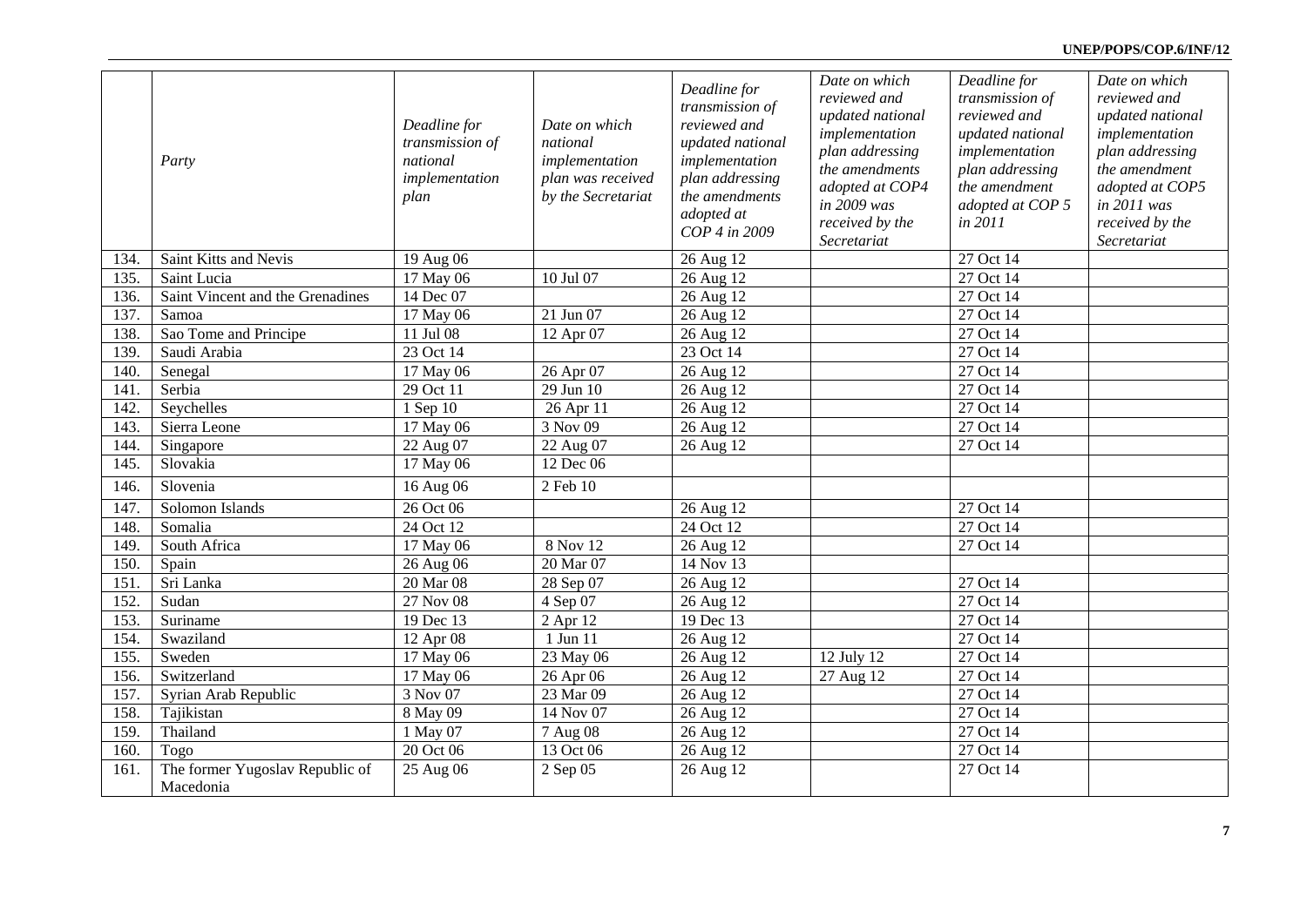### **UNEP/POPS/COP.6/INF/12**

|      | Party                                        | Deadline for<br>transmission of<br>national<br>implementation<br>plan | Date on which<br>national<br>implementation<br>plan was received<br>by the Secretariat | Deadline for<br>transmission of<br>reviewed and<br>updated national<br>implementation<br>plan addressing<br>the amendments<br>adopted at<br>COP 4 in 2009 | Date on which<br>reviewed and<br>updated national<br>implementation<br>plan addressing<br>the amendments<br>adopted at COP4<br>in 2009 was<br>received by the<br>Secretariat | Deadline for<br>transmission of<br>reviewed and<br>updated national<br>implementation<br>plan addressing<br>the amendment<br>adopted at COP 5<br>in 2011 | Date on which<br>reviewed and<br>updated national<br>implementation<br>plan addressing<br>the amendment<br>adopted at COP5<br>in 2011 was<br>received by the<br>Secretariat |
|------|----------------------------------------------|-----------------------------------------------------------------------|----------------------------------------------------------------------------------------|-----------------------------------------------------------------------------------------------------------------------------------------------------------|------------------------------------------------------------------------------------------------------------------------------------------------------------------------------|----------------------------------------------------------------------------------------------------------------------------------------------------------|-----------------------------------------------------------------------------------------------------------------------------------------------------------------------------|
| 134. | Saint Kitts and Nevis                        | 19 Aug 06                                                             |                                                                                        | 26 Aug 12                                                                                                                                                 |                                                                                                                                                                              | 27 Oct 14                                                                                                                                                |                                                                                                                                                                             |
| 135. | Saint Lucia                                  | 17 May 06                                                             | 10 Jul 07                                                                              | 26 Aug 12                                                                                                                                                 |                                                                                                                                                                              | 27 Oct 14                                                                                                                                                |                                                                                                                                                                             |
| 136. | Saint Vincent and the Grenadines             | 14 Dec 07                                                             |                                                                                        | 26 Aug 12                                                                                                                                                 |                                                                                                                                                                              | 27 Oct 14                                                                                                                                                |                                                                                                                                                                             |
| 137. | Samoa                                        | 17 May 06                                                             | 21 Jun 07                                                                              | 26 Aug 12                                                                                                                                                 |                                                                                                                                                                              | 27 Oct 14                                                                                                                                                |                                                                                                                                                                             |
| 138. | Sao Tome and Principe                        | 11 Jul 08                                                             | 12 Apr 07                                                                              | 26 Aug 12                                                                                                                                                 |                                                                                                                                                                              | 27 Oct 14                                                                                                                                                |                                                                                                                                                                             |
| 139. | Saudi Arabia                                 | 23 Oct 14                                                             |                                                                                        | 23 Oct 14                                                                                                                                                 |                                                                                                                                                                              | 27 Oct 14                                                                                                                                                |                                                                                                                                                                             |
| 140. | Senegal                                      | 17 May 06                                                             | 26 Apr 07                                                                              | 26 Aug 12                                                                                                                                                 |                                                                                                                                                                              | 27 Oct 14                                                                                                                                                |                                                                                                                                                                             |
| 141. | Serbia                                       | 29 Oct 11                                                             | 29 Jun 10                                                                              | 26 Aug 12                                                                                                                                                 |                                                                                                                                                                              | 27 Oct 14                                                                                                                                                |                                                                                                                                                                             |
| 142. | Seychelles                                   | 1 Sep 10                                                              | 26 Apr 11                                                                              | 26 Aug 12                                                                                                                                                 |                                                                                                                                                                              | 27 Oct 14                                                                                                                                                |                                                                                                                                                                             |
| 143. | Sierra Leone                                 | 17 May 06                                                             | 3 Nov 09                                                                               | 26 Aug 12                                                                                                                                                 |                                                                                                                                                                              | $27$ Oct 14                                                                                                                                              |                                                                                                                                                                             |
| 144. | Singapore                                    | 22 Aug 07                                                             | 22 Aug 07                                                                              | 26 Aug 12                                                                                                                                                 |                                                                                                                                                                              | 27 Oct 14                                                                                                                                                |                                                                                                                                                                             |
| 145. | Slovakia                                     | 17 May 06                                                             | 12 Dec 06                                                                              |                                                                                                                                                           |                                                                                                                                                                              |                                                                                                                                                          |                                                                                                                                                                             |
| 146. | Slovenia                                     | 16 Aug 06                                                             | 2 Feb 10                                                                               |                                                                                                                                                           |                                                                                                                                                                              |                                                                                                                                                          |                                                                                                                                                                             |
| 147. | Solomon Islands                              | 26 Oct 06                                                             |                                                                                        | 26 Aug 12                                                                                                                                                 |                                                                                                                                                                              | 27 Oct 14                                                                                                                                                |                                                                                                                                                                             |
| 148. | Somalia                                      | 24 Oct 12                                                             |                                                                                        | 24 Oct 12                                                                                                                                                 |                                                                                                                                                                              | 27 Oct 14                                                                                                                                                |                                                                                                                                                                             |
| 149. | South Africa                                 | 17 May 06                                                             | 8 Nov 12                                                                               | 26 Aug 12                                                                                                                                                 |                                                                                                                                                                              | 27 Oct 14                                                                                                                                                |                                                                                                                                                                             |
| 150. | Spain                                        | 26 Aug 06                                                             | 20 Mar 07                                                                              | 14 Nov 13                                                                                                                                                 |                                                                                                                                                                              |                                                                                                                                                          |                                                                                                                                                                             |
| 151. | Sri Lanka                                    | 20 Mar 08                                                             | 28 Sep 07                                                                              | 26 Aug 12                                                                                                                                                 |                                                                                                                                                                              | 27 Oct 14                                                                                                                                                |                                                                                                                                                                             |
| 152. | Sudan                                        | 27 Nov 08                                                             | 4 Sep 07                                                                               | 26 Aug 12                                                                                                                                                 |                                                                                                                                                                              | 27 Oct 14                                                                                                                                                |                                                                                                                                                                             |
| 153. | Suriname                                     | 19 Dec 13                                                             | 2 Apr 12                                                                               | $\overline{19}$ Dec 13                                                                                                                                    |                                                                                                                                                                              | 27 Oct 14                                                                                                                                                |                                                                                                                                                                             |
| 154. | Swaziland                                    | 12 Apr 08                                                             | 1 Jun 11                                                                               | $\overline{26}$ Aug 12                                                                                                                                    |                                                                                                                                                                              | 27 Oct 14                                                                                                                                                |                                                                                                                                                                             |
| 155. | Sweden                                       | 17 May 06                                                             | 23 May 06                                                                              | 26 Aug 12                                                                                                                                                 | 12 July 12                                                                                                                                                                   | 27 Oct 14                                                                                                                                                |                                                                                                                                                                             |
| 156. | Switzerland                                  | 17 May 06                                                             | 26 Apr 06                                                                              | 26 Aug 12                                                                                                                                                 | 27 Aug 12                                                                                                                                                                    | 27 Oct 14                                                                                                                                                |                                                                                                                                                                             |
| 157. | Syrian Arab Republic                         | 3 Nov 07                                                              | 23 Mar 09                                                                              | 26 Aug 12                                                                                                                                                 |                                                                                                                                                                              | 27 Oct 14                                                                                                                                                |                                                                                                                                                                             |
| 158. | Tajikistan                                   | 8 May 09                                                              | 14 Nov 07                                                                              | 26 Aug 12                                                                                                                                                 |                                                                                                                                                                              | 27 Oct 14                                                                                                                                                |                                                                                                                                                                             |
| 159. | Thailand                                     | 1 May 07                                                              | 7 Aug 08                                                                               | 26 Aug 12                                                                                                                                                 |                                                                                                                                                                              | 27 Oct 14                                                                                                                                                |                                                                                                                                                                             |
| 160. | Togo                                         | 20 Oct 06                                                             | 13 Oct $\overline{06}$                                                                 | 26 Aug 12                                                                                                                                                 |                                                                                                                                                                              | 27 Oct 14                                                                                                                                                |                                                                                                                                                                             |
| 161. | The former Yugoslav Republic of<br>Macedonia | 25 Aug 06                                                             | 2 Sep 05                                                                               | 26 Aug 12                                                                                                                                                 |                                                                                                                                                                              | 27 Oct 14                                                                                                                                                |                                                                                                                                                                             |